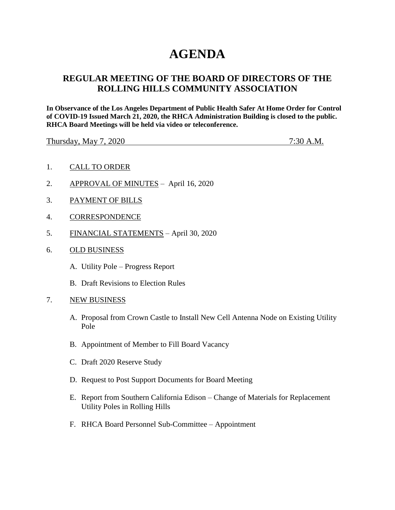# **AGENDA**

## **REGULAR MEETING OF THE BOARD OF DIRECTORS OF THE ROLLING HILLS COMMUNITY ASSOCIATION**

**In Observance of the Los Angeles Department of Public Health Safer At Home Order for Control of COVID-19 Issued March 21, 2020, the RHCA Administration Building is closed to the public. RHCA Board Meetings will be held via video or teleconference.** 

Thursday, May 7, 2020 7:30 A.M.

- 1. CALL TO ORDER
- 2. APPROVAL OF MINUTES April 16, 2020
- 3. PAYMENT OF BILLS
- 4. CORRESPONDENCE
- 5. FINANCIAL STATEMENTS April 30, 2020
- 6. OLD BUSINESS
	- A. Utility Pole Progress Report
	- B. Draft Revisions to Election Rules
- 7. NEW BUSINESS
	- A. Proposal from Crown Castle to Install New Cell Antenna Node on Existing Utility Pole
	- B. Appointment of Member to Fill Board Vacancy
	- C. Draft 2020 Reserve Study
	- D. Request to Post Support Documents for Board Meeting
	- E. Report from Southern California Edison Change of Materials for Replacement Utility Poles in Rolling Hills
	- F. RHCA Board Personnel Sub-Committee Appointment